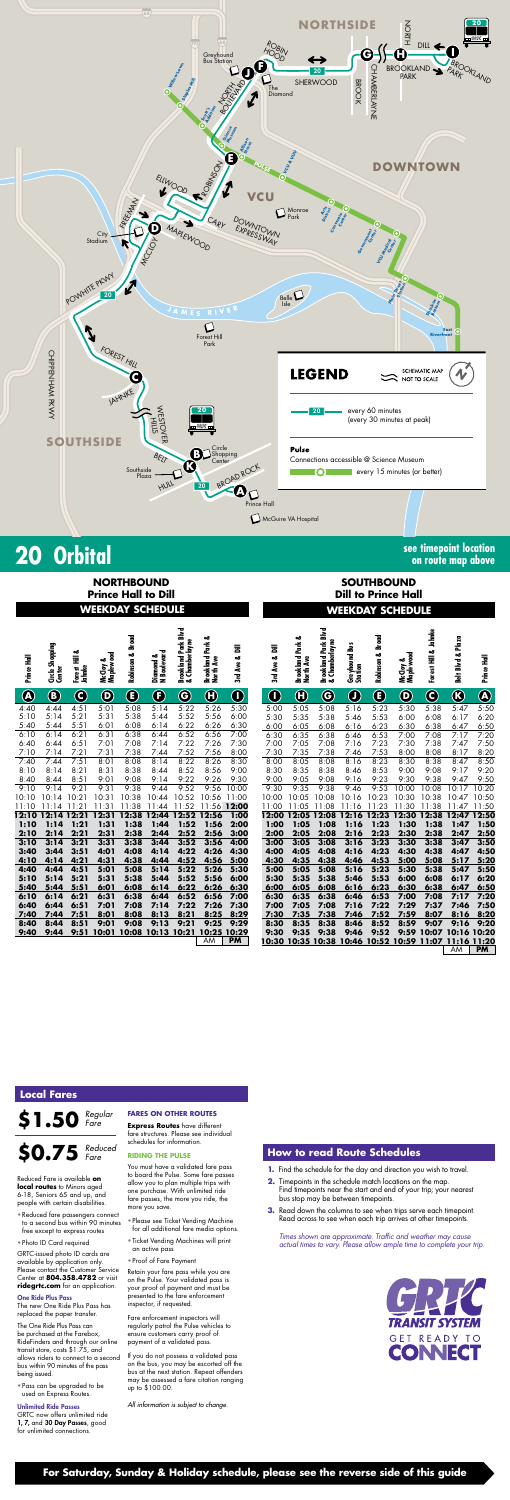# **20 Orbital see timepoint location**

**on route map above**

|             | <b>NORTHBOUND</b><br><b>Prince Hall to Dill</b><br><b>WEEKDAY SCHEDULE</b> |                            |                                 |                            |                             |                                          |                                          |                |                   | <b>SOUTHBOUND</b><br><b>Dill to Prince Hall</b><br><b>WEEKDAY SCHEDULE</b> |                                                 |                            |                            |                                 |                         |                                                 |                |
|-------------|----------------------------------------------------------------------------|----------------------------|---------------------------------|----------------------------|-----------------------------|------------------------------------------|------------------------------------------|----------------|-------------------|----------------------------------------------------------------------------|-------------------------------------------------|----------------------------|----------------------------|---------------------------------|-------------------------|-------------------------------------------------|----------------|
|             |                                                                            |                            |                                 |                            |                             |                                          |                                          |                |                   |                                                                            |                                                 |                            |                            |                                 |                         |                                                 |                |
| Prince Hall | Shopping<br>Center<br>ូ<br>ប៉                                              | ಹ<br>Forest Hill<br>Jahnke | Maplewood<br>ఱ<br><b>McCloy</b> | <b>Broad</b><br>Robinson & | N Boulevard<br>ఱ<br>Diamond | Brookland Park Blvd<br>Chamberlayne<br>ಹ | ٥ð<br>Ž<br><b>Brookland</b><br>North Ave | 言<br>3rd Ave & | 言<br>ಹ<br>3rd Ave | ఱ<br>Park<br><b>Brookland</b><br>North Ave                                 | <b>Brookland Park Blvd</b><br>Chamberlayne<br>ಟ | Greyhound Bus<br>Station   | <b>Broad</b><br>Robinson & | Maplewood<br>ఱ<br><b>McCloy</b> | Jahnke<br>Forest Hill & | Plaza<br>ಹ<br><b>B</b> lvd<br>Belt <sup>1</sup> | Prince Hall    |
| $\bigcirc$  | $\bf{(B)}$                                                                 | (C)                        | $\left(\mathbf{D}\right)$       | E                          | E)                          | $\bf G$                                  | $\bf \Theta$                             | $\bigcirc$     | $\bigcirc$        | $\bf \Theta$                                                               | G                                               | $\left( \mathbf{J}\right)$ | $\left( \mathbf{E}\right)$ | $\left(\mathbf{D}\right)$       | (C)                     | $\left( \mathbf{K}\right)$                      | $\bigcircledA$ |
| 4:40        | 4:44                                                                       | 4:51                       | 5:01                            | 5:08                       | 5:14                        | 5:22                                     | 5:26                                     | 5:30           | 5:00              | 5:05                                                                       | 5:08                                            | 5:16                       | 5:23                       | 5:30                            | 5:38                    | 5:47                                            | 5:50           |
| 5:10        | 5:14                                                                       | 5:21                       | 5:31                            | 5:38                       | 5:44                        | 5:52                                     | 5:56                                     | 6:00           | 5:30              | 5:35                                                                       | 5:38                                            | 5:46                       | 5:53                       | 6:00                            | 6:08                    | 6:17                                            | 6:20           |
| 5:40        | 5:44                                                                       | 5:51                       | 6:01                            | 6:08                       | 6:14                        | 6:22                                     | 6:26                                     | 6:30           | 6:00              | 6:05                                                                       | 6:08                                            | 6:16                       | 6:23                       | 6:30                            | 6:38                    | 6:47                                            | 6:50           |
| 6:10        | 6:14                                                                       | 6:21                       | 6:31                            | 6:38                       | 6:44                        | 6:52                                     | 6:56                                     | 7:00           | 6:30              | 6:35                                                                       | 6:38                                            | 6:46                       | 6:53                       | 7:00                            | 7:08                    | 7:17                                            | 7:20           |
| 6:40        | 6:44                                                                       | 6:51                       | 7:01                            | 7:08                       | 7:14                        | 7:22                                     | 7:26                                     | 7:30           | 7:00              | 7:05                                                                       | 7:08                                            | 7:16                       | 7:23                       | 7:30                            | 7:38                    | 7:47                                            | 7:50           |

| 7:10  | 7:14  | 7:21  | 7:31  | 7:38  | 7:44              | 7:52  | 7:56  | 8:00        |
|-------|-------|-------|-------|-------|-------------------|-------|-------|-------------|
| 7:40  | 7:44  | 7:51  | 8:01  | 8:08  | 8:14              | 8:22  | 8:26  | 8:30        |
| 8:10  | 8:14  | 8:21  | 8:31  | 8:38  | 8:44              | 8:52  | 8:56  | 9:00        |
| 8:40  | 8:44  | 8:51  | 9:01  | 9:08  | 9:14              | 9:22  | 9:26  | 9:30        |
| 9:10  | 9:14  | 9:21  | 9:31  | 9:38  | 9:44              | 9:52  | 9:56  | 10:00       |
| 10:10 | 10:14 | 10:21 | 10:31 | 10:38 | 10:44             | 10:52 | 10:56 | 11:00       |
| 11:10 | 11:14 | 11:21 | 11:31 | 11:38 | 11:44             | 11:52 | 11:56 | 12:00       |
| 12:10 | 12:14 | 12:21 | 12:31 | 12:38 | 12:44             | 12:52 | 12:56 | 1:00        |
| 1:10  | 1:14  | 1:21  | 1:31  | 1:38  | 1:44              | 1:52  | 1:56  | 2:00        |
| 2:10  | 2:14  | 2:21  | 2:31  | 2:38  | 2:44              | 2:52  | 2:56  | 3:00        |
| 3:10  | 3:14  | 3:21  | 3:31  | 3:38  | 3:44              | 3:52  | 3:56  | 4:00        |
| 3:40  | 3:44  | 3:51  | 4:01  | 4:08  | 4:14              | 4:22  | 4:26  | 4:30        |
| 4:10  | 4:14  | 4:21  | 4:31  | 4:38  | 4:44              | 4:52  | 4:56  | 5:00        |
| 4:40  | 4:44  | 4:51  | 5:01  | 5:08  | 5:14              | 5:22  | 5:26  | 5:30        |
| 5:10  | 5:14  | 5:21  | 5:31  | 5:38  | 5:44              | 5:52  | 5:56  | 6:00        |
| 5:40  | 5:44  | 5:51  | 6:01  | 6:08  | 6:14              | 6:22  | 6:26  | 6:30        |
| 6:10  | 6:14  | 6:21  | 6:31  | 6:38  | 6:44              | 6:52  | 6:56  | 7:00        |
| 6:40  | 6:44  | 6:51  | 7:01  | 7:08  | 7:14              | 7:22  | 7:26  | 7:30        |
| 7:40  | 7:44  | 7:51  | 8:01  | 8:08  | 8:13              | 8:21  | 8:25  | 8:29        |
| 8:40  | 8:44  | 8:51  | 9:01  | 9:08  | 9:13              | 9:21  | 9:25  | 9:29        |
| 9:40  | 9:44  | 9:51  | 10:01 |       | 10:08 10:13 10:21 |       |       | 10:25 10:29 |
|       |       |       |       |       |                   |       | AM.   | PM -        |

| 8:23<br>8:30<br>8:38<br>8:00<br>8:05<br>8:08<br>8:16<br>8:47<br>8:50<br>8:53<br>9:00<br>9:08<br>8:30<br>8:35<br>8:38<br>8:46<br>9:17<br>9:20<br>9:00<br>9:08<br>9:23<br>9:30<br>9:38<br>9:50<br>9:05<br>9:16<br>9:47<br>9:30<br>9:35<br>9:38<br>9:46<br>9:53<br>10:00<br>10:08<br>10:17<br>10:20<br>10:08<br>10:23<br>10:30<br>10:38<br>10:47<br>10:50<br>10:00<br>10:05<br>10:16<br>11:00<br>11:08<br>11:23<br>11:30<br>11:38<br>11:05<br>11:16<br>11:47<br>11:50<br>12:08<br>12:23<br>12:30<br>12:38<br>12:00<br>12:05<br>12:16<br>1:00<br>1:08<br>1:23<br>1:38<br>1:05<br>1:16<br>1:30<br>1:47<br>2:08<br>2:00<br>2:05<br>2:23<br>2:30<br>2:38<br>2:47<br>2:16<br>3:00<br>3:08<br>3:23<br>3:30<br>3:38<br>3:05<br>3:16<br>3:47<br>4:00<br>4:23<br>4:05<br>4:08<br>4:16<br>4:30<br>4:38<br>4:47<br>4:38<br>5:00<br>5:08<br>4:30<br>4:35<br>4:46<br>4:53<br>5:17<br>5:08<br>5:30<br>5:38<br>5:00<br>5:05<br>5:16<br>5:23<br>5:47<br>6:00<br>6:08<br>5:30<br>5:35<br>5:38<br>5:46<br>5:53<br>6:17<br>6:00<br>6:08<br>6:30<br>6:05<br>6:23<br>6:38<br>6:47<br>6:16<br>7:00<br>7:08<br>6:30<br>6:35<br>6:38<br>6:46<br>6:53<br>7:17<br>7:00<br>7:05<br>7:08<br>7:22<br>7:29<br>7:37<br>7:16<br>7:46<br>7:30<br>7:38<br>7:52<br>8:07<br>7:35<br>7:46<br>7:59<br>8:16<br>8:38<br>8:59<br>9:07<br>8:30<br>8:35<br>8:46<br>8:52<br>9:16<br>9:38<br>9:52<br>9:59<br>9:30<br>9:35<br>9:46<br>10:30 10:35 10:38 10:46<br>PM<br>AM | 7:30 | 7:35 | 7:38 | 7:46 | 7:53 | 8:00 | 8:08 | 8:17 | 8:20 |
|--------------------------------------------------------------------------------------------------------------------------------------------------------------------------------------------------------------------------------------------------------------------------------------------------------------------------------------------------------------------------------------------------------------------------------------------------------------------------------------------------------------------------------------------------------------------------------------------------------------------------------------------------------------------------------------------------------------------------------------------------------------------------------------------------------------------------------------------------------------------------------------------------------------------------------------------------------------------------------------------------------------------------------------------------------------------------------------------------------------------------------------------------------------------------------------------------------------------------------------------------------------------------------------------------------------------------------------------------------------------------------------------------------------------------|------|------|------|------|------|------|------|------|------|
| 12:47 12:50<br>1:50<br>2:50<br>3:50<br>4:50<br>5:20<br>5:50<br>6:20<br>6:50<br>7:20<br>7:50<br>8:20<br>9:20<br>10:07 10:16 10:20<br>10:52 10:59 11:07 11:16 11:20                                                                                                                                                                                                                                                                                                                                                                                                                                                                                                                                                                                                                                                                                                                                                                                                                                                                                                                                                                                                                                                                                                                                                                                                                                                        |      |      |      |      |      |      |      |      |      |
|                                                                                                                                                                                                                                                                                                                                                                                                                                                                                                                                                                                                                                                                                                                                                                                                                                                                                                                                                                                                                                                                                                                                                                                                                                                                                                                                                                                                                          |      |      |      |      |      |      |      |      |      |
|                                                                                                                                                                                                                                                                                                                                                                                                                                                                                                                                                                                                                                                                                                                                                                                                                                                                                                                                                                                                                                                                                                                                                                                                                                                                                                                                                                                                                          |      |      |      |      |      |      |      |      |      |
|                                                                                                                                                                                                                                                                                                                                                                                                                                                                                                                                                                                                                                                                                                                                                                                                                                                                                                                                                                                                                                                                                                                                                                                                                                                                                                                                                                                                                          |      |      |      |      |      |      |      |      |      |
|                                                                                                                                                                                                                                                                                                                                                                                                                                                                                                                                                                                                                                                                                                                                                                                                                                                                                                                                                                                                                                                                                                                                                                                                                                                                                                                                                                                                                          |      |      |      |      |      |      |      |      |      |
|                                                                                                                                                                                                                                                                                                                                                                                                                                                                                                                                                                                                                                                                                                                                                                                                                                                                                                                                                                                                                                                                                                                                                                                                                                                                                                                                                                                                                          |      |      |      |      |      |      |      |      |      |
|                                                                                                                                                                                                                                                                                                                                                                                                                                                                                                                                                                                                                                                                                                                                                                                                                                                                                                                                                                                                                                                                                                                                                                                                                                                                                                                                                                                                                          |      |      |      |      |      |      |      |      |      |
|                                                                                                                                                                                                                                                                                                                                                                                                                                                                                                                                                                                                                                                                                                                                                                                                                                                                                                                                                                                                                                                                                                                                                                                                                                                                                                                                                                                                                          |      |      |      |      |      |      |      |      |      |
|                                                                                                                                                                                                                                                                                                                                                                                                                                                                                                                                                                                                                                                                                                                                                                                                                                                                                                                                                                                                                                                                                                                                                                                                                                                                                                                                                                                                                          |      |      |      |      |      |      |      |      |      |
|                                                                                                                                                                                                                                                                                                                                                                                                                                                                                                                                                                                                                                                                                                                                                                                                                                                                                                                                                                                                                                                                                                                                                                                                                                                                                                                                                                                                                          |      |      |      |      |      |      |      |      |      |
|                                                                                                                                                                                                                                                                                                                                                                                                                                                                                                                                                                                                                                                                                                                                                                                                                                                                                                                                                                                                                                                                                                                                                                                                                                                                                                                                                                                                                          |      |      |      |      |      |      |      |      |      |
|                                                                                                                                                                                                                                                                                                                                                                                                                                                                                                                                                                                                                                                                                                                                                                                                                                                                                                                                                                                                                                                                                                                                                                                                                                                                                                                                                                                                                          |      |      |      |      |      |      |      |      |      |
|                                                                                                                                                                                                                                                                                                                                                                                                                                                                                                                                                                                                                                                                                                                                                                                                                                                                                                                                                                                                                                                                                                                                                                                                                                                                                                                                                                                                                          |      |      |      |      |      |      |      |      |      |
|                                                                                                                                                                                                                                                                                                                                                                                                                                                                                                                                                                                                                                                                                                                                                                                                                                                                                                                                                                                                                                                                                                                                                                                                                                                                                                                                                                                                                          |      |      |      |      |      |      |      |      |      |
|                                                                                                                                                                                                                                                                                                                                                                                                                                                                                                                                                                                                                                                                                                                                                                                                                                                                                                                                                                                                                                                                                                                                                                                                                                                                                                                                                                                                                          |      |      |      |      |      |      |      |      |      |
|                                                                                                                                                                                                                                                                                                                                                                                                                                                                                                                                                                                                                                                                                                                                                                                                                                                                                                                                                                                                                                                                                                                                                                                                                                                                                                                                                                                                                          |      |      |      |      |      |      |      |      |      |
|                                                                                                                                                                                                                                                                                                                                                                                                                                                                                                                                                                                                                                                                                                                                                                                                                                                                                                                                                                                                                                                                                                                                                                                                                                                                                                                                                                                                                          |      |      |      |      |      |      |      |      |      |
|                                                                                                                                                                                                                                                                                                                                                                                                                                                                                                                                                                                                                                                                                                                                                                                                                                                                                                                                                                                                                                                                                                                                                                                                                                                                                                                                                                                                                          |      |      |      |      |      |      |      |      |      |
|                                                                                                                                                                                                                                                                                                                                                                                                                                                                                                                                                                                                                                                                                                                                                                                                                                                                                                                                                                                                                                                                                                                                                                                                                                                                                                                                                                                                                          |      |      |      |      |      |      |      |      |      |
|                                                                                                                                                                                                                                                                                                                                                                                                                                                                                                                                                                                                                                                                                                                                                                                                                                                                                                                                                                                                                                                                                                                                                                                                                                                                                                                                                                                                                          |      |      |      |      |      |      |      |      |      |
|                                                                                                                                                                                                                                                                                                                                                                                                                                                                                                                                                                                                                                                                                                                                                                                                                                                                                                                                                                                                                                                                                                                                                                                                                                                                                                                                                                                                                          |      |      |      |      |      |      |      |      |      |
|                                                                                                                                                                                                                                                                                                                                                                                                                                                                                                                                                                                                                                                                                                                                                                                                                                                                                                                                                                                                                                                                                                                                                                                                                                                                                                                                                                                                                          |      |      |      |      |      |      |      |      |      |

*Times shown are approximate. Traffic and weather may cause actual times to vary. Please allow ample time to complete your trip.*





#### **How to read Route Schedules**

- **1.** Find the schedule for the day and direction you wish to travel.
- **2.** Timepoints in the schedule match locations on the map. Find timepoints near the start and end of your trip; your nearest bus stop may be between timepoints.
- **3.** Read down the columns to see when trips serve each timepoint. Read across to see when each trip arrives at other timepoints.

### **Local Fares**

**\$1.50** *Regular Fare*

Reduced Fare is available **on local routes** to Minors aged 6-18, Seniors 65 and up, and people with certain disabilities.

• Reduced fare passengers connect to a second bus within 90 minutes free except to express routes

• Photo ID Card required

GRTC-issued photo ID cards are available by application only. Please contact the Customer Service Center at **804.358.4782** or visit **ridegrtc.com** for an application.

#### One Ride Plus Pass



The new One Ride Plus Pass has replaced the paper transfer.

The One Ride Plus Pass can be purchased at the Farebox, RideFinders and through our online transit store, costs \$1.75, and allows riders to connect to a second bus within 90 minutes of the pass being issued.

• Pass can be upgraded to be used on Express Routes.

#### Unlimited Ride Passes

GRTC now offers unlimited ride 1, 7, and 30 Day Passes, good for unlimited connections.

#### **FARES ON OTHER ROUTES**

**Express Routes** have different fare structures. Please see individual schedules for information.

#### **RIDING THE PULSE**

You must have a validated fare pass to board the Pulse. Some fare passes allow you to plan multiple trips with one purchase. With unlimited ride fare passes, the more you ride, the more you save.

- Please see Ticket Vending Machine for all additional fare media options.
- Ticket Vending Machines will print an active pass
- Proof of Fare Payment

Retain your fare pass while you are on the Pulse. Your validated pass is your proof of payment and must be presented to the fare enforcement inspector, if requested.

Fare enforcement inspectors will regularly patrol the Pulse vehicles to ensure customers carry proof of payment of a validated pass.

If you do not possess a validated pass on the bus, you may be escorted off the bus at the next station. Repeat offenders may be assessed a fare citation ranging up to \$100.00.

*All information is subject to change.*